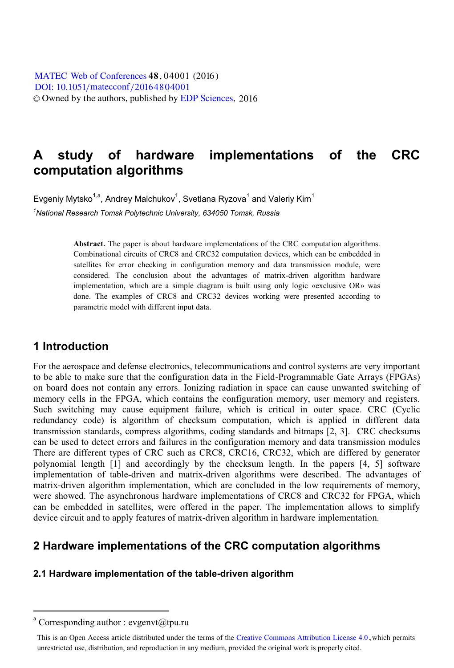**MATEC [Web of Conferences](http://www.matec-conferences.org) 48, 04001 (2016)** [DOI: 10.1051](http://dx.doi.org/10.1051/matecconf/20164804001)/matecconf/20164804001 © Owned by the authors, published by [EDP Sciences,](http://www.edpsciences.org) 2016

# **A study of hardware implementations of the CRC computation algorithms**

Evgeniy Mytsko $^{1,a}$ , Andrey Malchukov $^1$ , Svetlana Ryzova $^1$  and Valeriy Kim $^1$ *1 National Research Tomsk Polytechnic University, 634050 Tomsk, Russia* 

> **Abstract.** The paper is about hardware implementations of the CRC computation algorithms. Combinational circuits of CRC8 and CRC32 computation devices, which can be embedded in satellites for error checking in configuration memory and data transmission module, were considered. The conclusion about the advantages of matrix-driven algorithm hardware implementation, which are a simple diagram is built using only logic «exclusive OR» was done. The examples of CRC8 and CRC32 devices working were presented according to parametric model with different input data.

#### **1 Introduction**

For the aerospace and defense electronics, telecommunications and control systems are very important to be able to make sure that the configuration data in the Field-Programmable Gate Arrays (FPGAs) on board does not contain any errors. Ionizing radiation in space can cause unwanted switching of memory cells in the FPGA, which contains the configuration memory, user memory and registers. Such switching may cause equipment failure, which is critical in outer space. CRC (Cyclic redundancy code) is algorithm of checksum computation, which is applied in different data transmission standards, compress algorithms, coding standards and bitmaps [2, 3]. CRC checksums can be used to detect errors and failures in the configuration memory and data transmission modules There are different types of CRC such as CRC8, CRC16, CRC32, which are differed by generator polynomial length [1] and accordingly by the checksum length. In the papers [4, 5] software implementation of table-driven and matrix-driven algorithms were described. The advantages of matrix-driven algorithm implementation, which are concluded in the low requirements of memory, were showed. The asynchronous hardware implementations of CRC8 and CRC32 for FPGA, which can be embedded in satellites, were offered in the paper. The implementation allows to simplify device circuit and to apply features of matrix-driven algorithm in hardware implementation.

## **2 Hardware implementations of the CRC computation algorithms**

#### **2.1 Hardware implementation of the table-driven algorithm**

 $\overline{a}$ 

a Corresponding author : evgenvt@tpu.ru

This is an Open Access article distributed under the terms of the Creative Commons Attribution License 4.0, which permits unrestricted use, distribution, and reproduction in any medium, provided the original work is properly cited.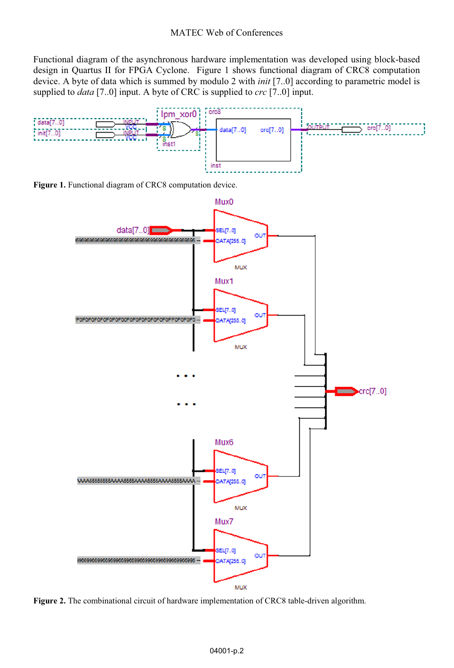Functional diagram of the asynchronous hardware implementation was developed using block-based design in Quartus II for FPGA Cyclone. Figure 1 shows functional diagram of CRC8 computation device. A byte of data which is summed by modulo 2 with *init* [7..0] according to parametric model is supplied to *data* [7..0] input. A byte of CRC is supplied to *crc* [7..0] input.



**Figure 1.** Functional diagram of CRC8 computation device.



**Figure 2.** The combinational circuit of hardware implementation of CRC8 table-driven algorithm.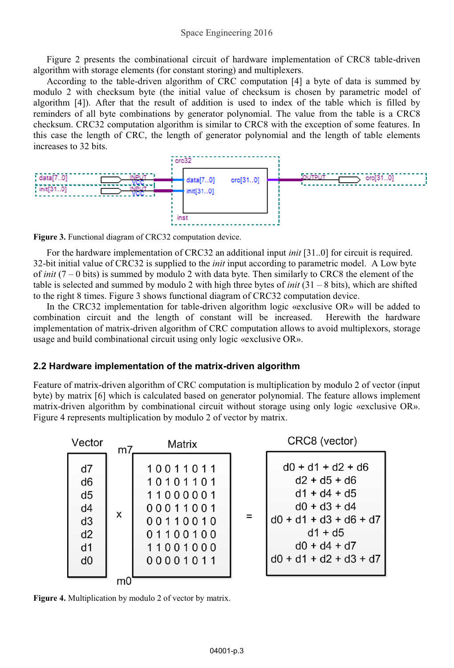Figure 2 presents the combinational circuit of hardware implementation of CRC8 table-driven algorithm with storage elements (for constant storing) and multiplexers.

According to the table-driven algorithm of CRC computation [4] a byte of data is summed by modulo 2 with checksum byte (the initial value of checksum is chosen by parametric model of algorithm [4]). After that the result of addition is used to index of the table which is filled by reminders of all byte combinations by generator polynomial. The value from the table is a CRC8 checksum. CRC32 computation algorithm is similar to CRC8 with the exception of some features. In this case the length of CRC, the length of generator polynomial and the length of table elements increases to 32 bits.



**Figure 3.** Functional diagram of CRC32 computation device.

For the hardware implementation of CRC32 an additional input *init* [31..0] for circuit is required. 32-bit initial value of CRC32 is supplied to the *init* input according to parametric model. A Low byte of *init* (7 – 0 bits) is summed by modulo 2 with data byte. Then similarly to CRC8 the element of the table is selected and summed by modulo 2 with high three bytes of *init*  $(31 - 8$  bits), which are shifted to the right 8 times. Figure 3 shows functional diagram of CRC32 computation device.

In the CRC32 implementation for table-driven algorithm logic «exclusive OR» will be added to combination circuit and the length of constant will be increased. Herewith the hardware implementation of matrix-driven algorithm of CRC computation allows to avoid multiplexors, storage usage and build combinational circuit using only logic «exclusive OR».

#### **2.2 Hardware implementation of the matrix-driven algorithm**

Feature of matrix-driven algorithm of CRC computation is multiplication by modulo 2 of vector (input byte) by matrix [6] which is calculated based on generator polynomial. The feature allows implement matrix-driven algorithm by combinational circuit without storage using only logic «exclusive OR». Figure 4 represents multiplication by modulo 2 of vector by matrix.



**Figure 4.** Multiplication by modulo 2 of vector by matrix.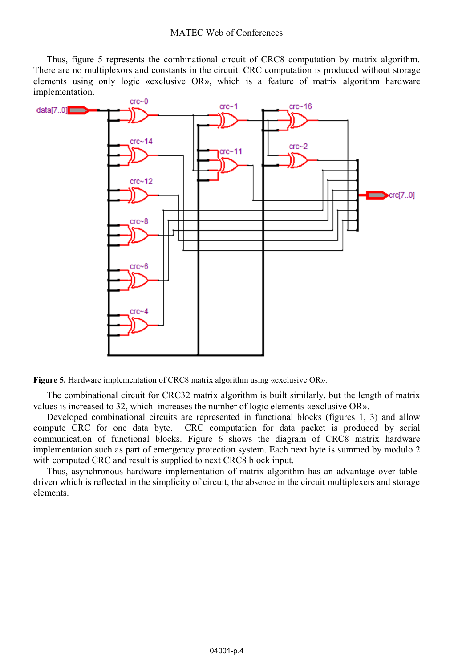Thus, figure 5 represents the combinational circuit of CRC8 computation by matrix algorithm. There are no multiplexors and constants in the circuit. CRC computation is produced without storage elements using only logic «exclusive OR», which is a feature of matrix algorithm hardware implementation.





The combinational circuit for CRC32 matrix algorithm is built similarly, but the length of matrix values is increased to 32, which increases the number of logic elements «exclusive OR».

Developed combinational circuits are represented in functional blocks (figures 1, 3) and allow compute CRC for one data byte. CRC computation for data packet is produced by serial communication of functional blocks. Figure 6 shows the diagram of CRC8 matrix hardware implementation such as part of emergency protection system. Each next byte is summed by modulo 2 with computed CRC and result is supplied to next CRC8 block input.

Thus, asynchronous hardware implementation of matrix algorithm has an advantage over tabledriven which is reflected in the simplicity of circuit, the absence in the circuit multiplexers and storage elements.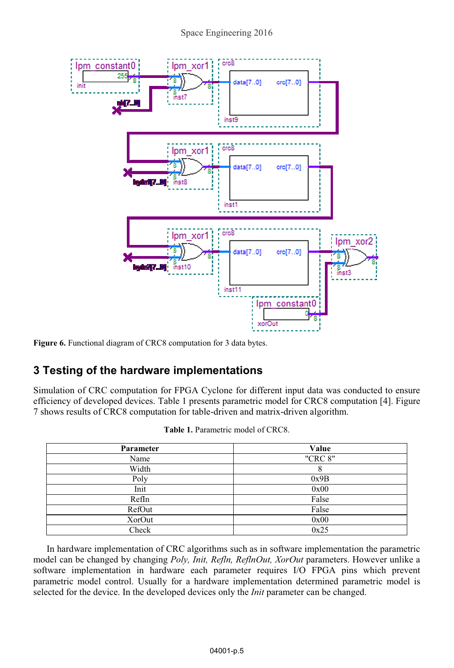

Figure 6. Functional diagram of CRC8 computation for 3 data bytes.

# **3 Testing of the hardware implementations**

Simulation of CRC computation for FPGA Cyclone for different input data was conducted to ensure efficiency of developed devices. Table 1 presents parametric model for CRC8 computation [4]. Figure 7 shows results of CRC8 computation for table-driven and matrix-driven algorithm.

| Parameter | Value   |
|-----------|---------|
| Name      | "CRC 8" |
| Width     | 8       |
| Poly      | 0x9B    |
| Init      | 0x00    |
| RefIn     | False   |
| RefOut    | False   |
| XorOut    | 0x00    |
| Check     | 0x25    |

**Table 1.** Parametric model of CRC8.

In hardware implementation of CRC algorithms such as in software implementation the parametric model can be changed by changing *Poly, Init, Refln, ReflnOut, XorOut* parameters. However unlike a software implementation in hardware each parameter requires I/O FPGA pins which prevent parametric model control. Usually for a hardware implementation determined parametric model is selected for the device. In the developed devices only the *Init* parameter can be changed.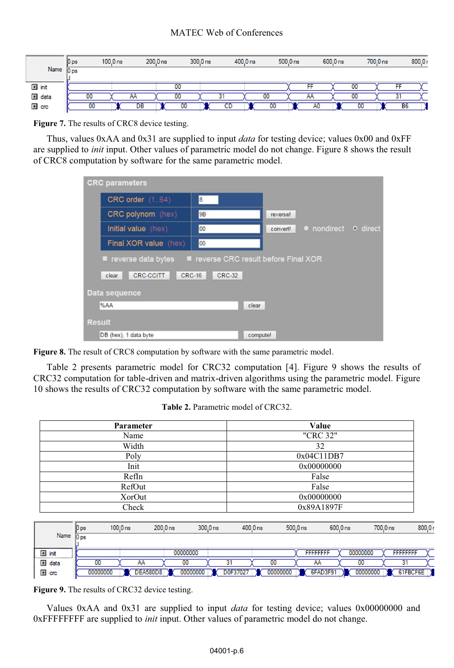#### MATEC Web of Conferences

|         | [0 <sub>ps</sub> ] | $100.0$ ns | $200.0$ ns |    | $300.0$ ns |    | $400.0$ ns |    | $500.0$ ns |           | $600.0$ ns |    | 700.0 ns |           | 800.0r |
|---------|--------------------|------------|------------|----|------------|----|------------|----|------------|-----------|------------|----|----------|-----------|--------|
| Name    | $\bf{0}$ ps        |            |            |    |            |    |            |    |            |           |            |    |          |           |        |
|         |                    |            |            |    |            |    |            |    |            |           |            |    |          |           |        |
| El init |                    |            |            | 00 |            |    |            |    |            | FF        |            | 00 |          |           |        |
| 国 data  | 00                 |            | ΑA         | 00 |            | اک |            | 00 |            | AA        |            | UU |          |           |        |
| $E$ crc |                    | 00         | <b>DB</b>  | 00 |            | CD |            | 00 |            | <b>AU</b> |            | 00 |          | <b>B6</b> |        |

**Figure 7.** The results of CRC8 device testing.

Thus, values 0xAA and 0x31 are supplied to input *data* for testing device; values 0x00 and 0xFF are supplied to *init* input. Other values of parametric model do not change. Figure 8 shows the result of CRC8 computation by software for the same parametric model.

| <b>CRC</b> parameters                                                      |  |  |  |  |  |  |  |  |
|----------------------------------------------------------------------------|--|--|--|--|--|--|--|--|
| <b>CRC</b> order (164)<br>$\vert$ 8                                        |  |  |  |  |  |  |  |  |
| CRC polynom (hex)<br>9B<br>reverse!                                        |  |  |  |  |  |  |  |  |
| • nondirect<br>o direct<br>Initial value (hex)<br>00<br>convert!           |  |  |  |  |  |  |  |  |
| 00<br><b>Final XOR value</b> (hex)                                         |  |  |  |  |  |  |  |  |
| ■ reverse CRC result before Final XOR<br>$\blacksquare$ reverse data bytes |  |  |  |  |  |  |  |  |
| <b>CRC-CCITT</b><br><b>CRC-16</b><br><b>CRC-32</b><br>clear                |  |  |  |  |  |  |  |  |
| Data sequence                                                              |  |  |  |  |  |  |  |  |
| %AA<br>clear                                                               |  |  |  |  |  |  |  |  |
| <b>Result</b>                                                              |  |  |  |  |  |  |  |  |
| DB (hex), 1 data byte<br>compute!                                          |  |  |  |  |  |  |  |  |

**Figure 8.** The result of CRC8 computation by software with the same parametric model.

Table 2 presents parametric model for CRC32 computation [4]. Figure 9 shows the results of CRC32 computation for table-driven and matrix-driven algorithms using the parametric model. Figure 10 shows the results of CRC32 computation by software with the same parametric model.

| Parameter | Value      |
|-----------|------------|
| Name      | "CRC 32"   |
| Width     | 32         |
| Poly      | 0x04C11DB7 |
| Init      | 0x00000000 |
| RefIn     | False      |
| RefOut    | False      |
| XorOut    | 0x00000000 |
| Check     | 0x89A1897F |

|  | <b>Table 2.</b> Parametric model of CRC32. |
|--|--------------------------------------------|
|--|--------------------------------------------|

|             | $\beta_{\rm{ps}}$ | 100.0 <sub>ns</sub> | $200.0$ ns      | $300.0$ ns | $400.0$ ns | $500.0$ ns |                  | 600.0 ns | 700.0 ns<br>800.0r |
|-------------|-------------------|---------------------|-----------------|------------|------------|------------|------------------|----------|--------------------|
| Name 0 ps   |                   |                     |                 |            |            |            |                  |          |                    |
| El init<br> |                   |                     | 00000000        |            |            |            | <b>FFFFFFFFF</b> | 00000000 | <b>FFFFFFFFF</b>   |
| 国 data      | 00                | AA                  | 00              |            | 31         | 00         | AA               | 00       |                    |
| $E$ crc     | 00000000          |                     | <b>DEA580D8</b> | 00000000   | D0F37027   | 00000000   | 6FAD3F91         | 00000000 | 61FBCF6E           |

**Figure 9.** The results of CRC32 device testing.

Values 0xAA and 0x31 are supplied to input *data* for testing device; values 0x00000000 and 0xFFFFFFFF are supplied to *init* input. Other values of parametric model do not change.